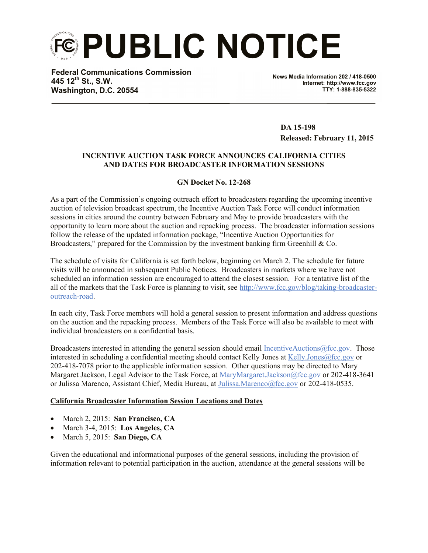**PUBLIC NOTICE**

**Federal Communications Commission 445 12th St., S.W. Washington, D.C. 20554**

**News Media Information 202 / 418-0500 Internet: http://www.fcc.gov TTY: 1-888-835-5322**

 **DA 15-198 Released: February 11, 2015**

## **INCENTIVE AUCTION TASK FORCE ANNOUNCES CALIFORNIA CITIES AND DATES FOR BROADCASTER INFORMATION SESSIONS**

## **GN Docket No. 12-268**

As a part of the Commission's ongoing outreach effort to broadcasters regarding the upcoming incentive auction of television broadcast spectrum, the Incentive Auction Task Force will conduct information sessions in cities around the country between February and May to provide broadcasters with the opportunity to learn more about the auction and repacking process. The broadcaster information sessions follow the release of the updated information package, "Incentive Auction Opportunities for Broadcasters," prepared for the Commission by the investment banking firm Greenhill  $\& Co$ .

The schedule of visits for California is set forth below, beginning on March 2. The schedule for future visits will be announced in subsequent Public Notices. Broadcasters in markets where we have not scheduled an information session are encouraged to attend the closest session. For a tentative list of the all of the markets that the Task Force is planning to visit, see http://www.fcc.gov/blog/taking-broadcasteroutreach-road.

In each city, Task Force members will hold a general session to present information and address questions on the auction and the repacking process. Members of the Task Force will also be available to meet with individual broadcasters on a confidential basis.

Broadcasters interested in attending the general session should email IncentiveAuctions@fcc.gov. Those interested in scheduling a confidential meeting should contact Kelly Jones at Kelly Jones@fcc.gov or 202-418-7078 prior to the applicable information session. Other questions may be directed to Mary Margaret Jackson, Legal Advisor to the Task Force, at MaryMargaret.Jackson@fcc.gov or 202-418-3641 or Julissa Marenco, Assistant Chief, Media Bureau, at Julissa.Marenco@fcc.gov or 202-418-0535.

## **California Broadcaster Information Session Locations and Dates**

- March 2, 2015: **San Francisco, CA**
- March 3-4, 2015: **Los Angeles, CA**
- March 5, 2015: **San Diego, CA**

Given the educational and informational purposes of the general sessions, including the provision of information relevant to potential participation in the auction, attendance at the general sessions will be